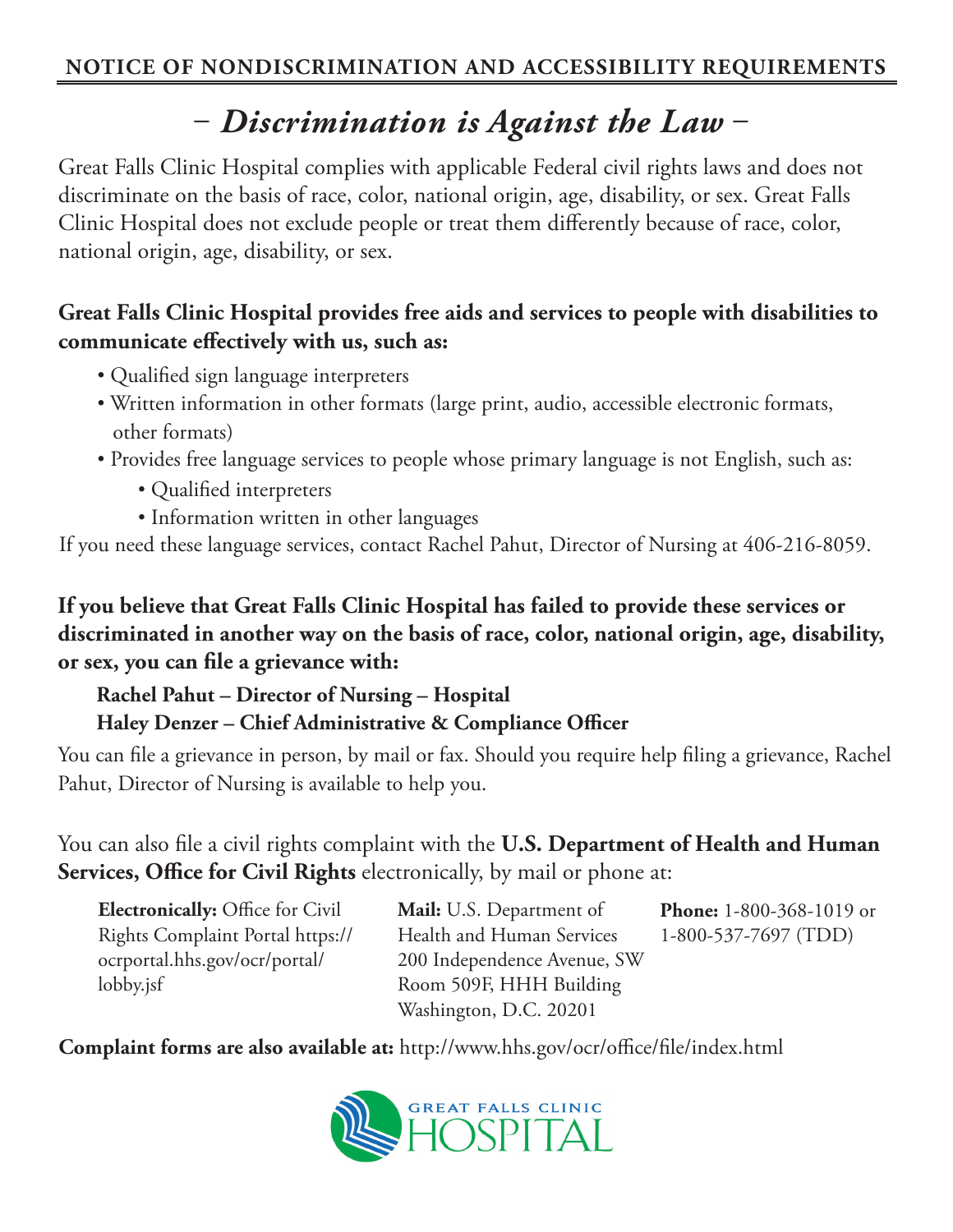## ‒ *Discrimination is Against the Law* ‒

Great Falls Clinic Hospital complies with applicable Federal civil rights laws and does not discriminate on the basis of race, color, national origin, age, disability, or sex. Great Falls Clinic Hospital does not exclude people or treat them differently because of race, color, national origin, age, disability, or sex.

## **Great Falls Clinic Hospital provides free aids and services to people with disabilities to communicate effectively with us, such as:**

- Qualified sign language interpreters
- Written information in other formats (large print, audio, accessible electronic formats, other formats)
- Provides free language services to people whose primary language is not English, such as:
	- Qualified interpreters
	- Information written in other languages

If you need these language services, contact Rachel Pahut, Director of Nursing at 406-216-8059.

**If you believe that Great Falls Clinic Hospital has failed to provide these services or discriminated in another way on the basis of race, color, national origin, age, disability, or sex, you can file a grievance with:**

## **Rachel Pahut – Director of Nursing – Hospital Haley Denzer – Chief Administrative & Compliance Officer**

You can file a grievance in person, by mail or fax. Should you require help filing a grievance, Rachel Pahut, Director of Nursing is available to help you.

You can also file a civil rights complaint with the **U.S. Department of Health and Human Services, Office for Civil Rights** electronically, by mail or phone at:

**Electronically:** Office for Civil Rights Complaint Portal https:// ocrportal.hhs.gov/ocr/portal/ lobby.jsf

**Mail:** U.S. Department of Health and Human Services 200 Independence Avenue, SW Room 509F, HHH Building Washington, D.C. 20201

**Phone:** 1-800-368-1019 or 1-800-537-7697 (TDD)

**Complaint forms are also available at:** http://www.hhs.gov/ocr/office/file/index.html